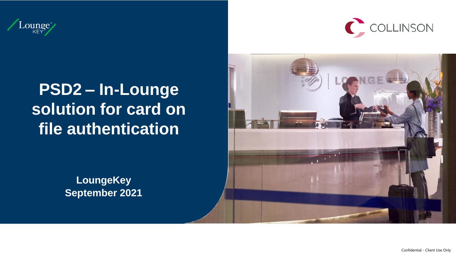



# **PSD2 – In-Lounge solution for card on file authentication**

**LoungeKey September 2021**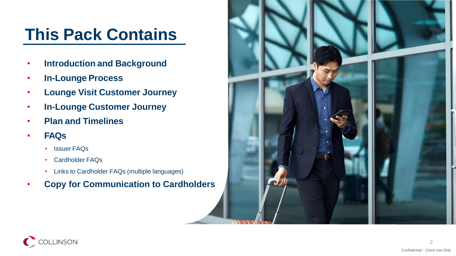# **This Pack Contains**

- **Introduction and Background**
- **In-Lounge Process**
- **Lounge Visit Customer Journey**
- **In-Lounge Customer Journey**
- **Plan and Timelines**
- **FAQs**
	- Issuer FAQs
	- Cardholder FAQs
	- Links to Cardholder FAQs (multiple languages)
- **Copy for Communication to Cardholders**



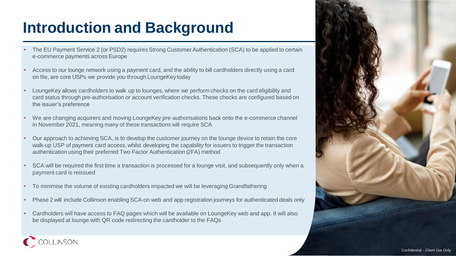# **Introduction and Background**

- The EU Payment Service 2 (or PSD2) requires Strong Customer Authentication (SCA) to be applied to certain e-commerce payments across Europe
- Access to our lounge network using a payment card, and the ability to bill cardholders directly using a card on file, are core USPs we provide you through LoungeKey today
- LoungeKey allows cardholders to walk up to lounges, where we perform checks on the card eligibility and card status through pre-authorisation or account verification checks. These checks are configured based on the issuer's preference
- We are changing acquirers and moving LoungeKey pre-authorisations back onto the e-commerce channel in November 2021, meaning many of these transactions will require SCA
- Our approach to achieving SCA, is to develop the customer journey on the lounge device to retain the core walk-up USP of payment card access, whilst developing the capability for issuers to trigger the transaction authentication using their preferred Two Factor Authentication (2FA) method
- SCA will be required the first time a transaction is processed for a lounge visit, and subsequently only when a payment card is reissued
- To minimise the volume of existing cardholders impacted we will be leveraging Grandfathering
- Phase 2 will include Collinson enabling SCA on web and app registration journeys for authenticated deals only
- Cardholders will have access to FAQ pages which will be available on LoungeKey web and app. It will also be displayed at lounge with QR code redirecting the cardholder to the FAQs

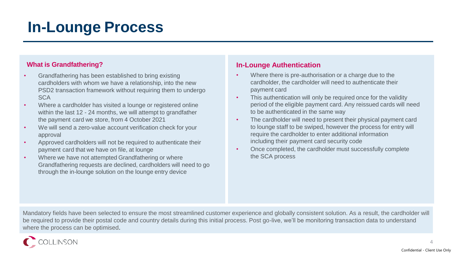# **In-Lounge Process**

## **What is Grandfathering?**

- Grandfathering has been established to bring existing cardholders with whom we have a relationship, into the new PSD2 transaction framework without requiring them to undergo **SCA**
- Where a cardholder has visited a lounge or registered online within the last 12 - 24 months, we will attempt to grandfather the payment card we store, from 4 October 2021
- We will send a zero-value account verification check for your approval
- Approved cardholders will not be required to authenticate their payment card that we have on file, at lounge
- Where we have not attempted Grandfathering or where Grandfathering requests are declined, cardholders will need to go through the in-lounge solution on the lounge entry device

## **In-Lounge Authentication**

- Where there is pre-authorisation or a charge due to the cardholder, the cardholder will need to authenticate their payment card
- This authentication will only be required once for the validity period of the eligible payment card. Any reissued cards will need to be authenticated in the same way
- The cardholder will need to present their physical payment card to lounge staff to be swiped, however the process for entry will require the cardholder to enter additional information including their payment card security code
- Once completed, the cardholder must successfully complete the SCA process

Mandatory fields have been selected to ensure the most streamlined customer experience and globally consistent solution. As a result, the cardholder will be required to provide their postal code and country details during this initial process. Post go-live, we'll be monitoring transaction data to understand where the process can be optimised.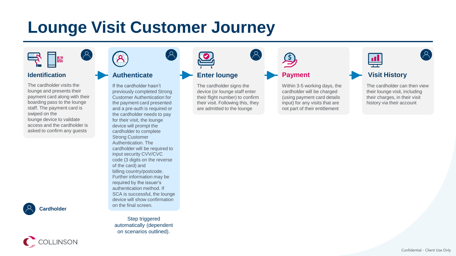# **Lounge Visit Customer Journey**

 $\left( \mathfrak{D}\right)$ 



### **Identification**

The cardholder visits the lounge and presents their payment card along with their boarding pass to the lounge staff. The payment card is swiped on the lounge device to validate access and the cardholder is asked to confirm any guests



C COLLINSON



 $\mathcal{A}$ 

### **Authenticate**

If the cardholder hasn't previously completed Strong Customer Authentication for the payment card presented and a pre-auth is required or the cardholder needs to pay for their visit, the lounge device will prompt the cardholder to complete Strong Customer Authentication. The cardholder will be required to input security CVV/CVC code (3 digits on the reverse of the card) and billing country/postcode. Further information may be required by the issuer's authentication method. If SCA is successful, the lounge device will show confirmation on the final screen.

Step triggered automatically (dependent on scenarios outlined).

# **Enter lounge**

The cardholder signs the device (or lounge staff enter their flight number) to confirm their visit. Following this, they are admitted to the lounge

 $\mathcal{A}$ 

**Payment**

Within 3-5 working days, the cardholder will be charged (using payment card details input) for any visits that are not part of their entitlement

**Visit History** The cardholder can then view their lounge visit, including their charges, in their visit history via their account

 $\mathbf{H}$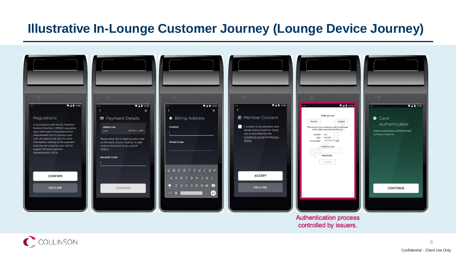## **Illustrative In-Lounge Customer Journey (Lounge Device Journey)**



**Authentication process** controlled by issuers.

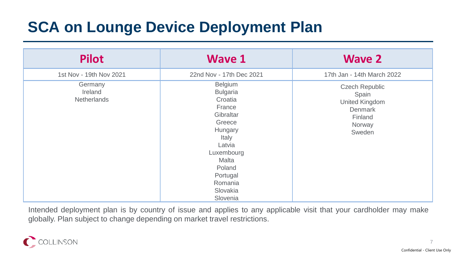# **SCA on Lounge Device Deployment Plan**

| <b>Pilot</b>                      | <b>Wave 1</b>                                                                                                                                                                        | <b>Wave 2</b>                                                                              |
|-----------------------------------|--------------------------------------------------------------------------------------------------------------------------------------------------------------------------------------|--------------------------------------------------------------------------------------------|
| 1st Nov - 19th Nov 2021           | 22nd Nov - 17th Dec 2021                                                                                                                                                             | 17th Jan - 14th March 2022                                                                 |
| Germany<br>Ireland<br>Netherlands | Belgium<br><b>Bulgaria</b><br>Croatia<br>France<br>Gibraltar<br>Greece<br>Hungary<br>Italy<br>Latvia<br>Luxembourg<br>Malta<br>Poland<br>Portugal<br>Romania<br>Slovakia<br>Slovenia | <b>Czech Republic</b><br>Spain<br>United Kingdom<br>Denmark<br>Finland<br>Norway<br>Sweden |

Intended deployment plan is by country of issue and applies to any applicable visit that your cardholder may make globally. Plan subject to change depending on market travel restrictions.

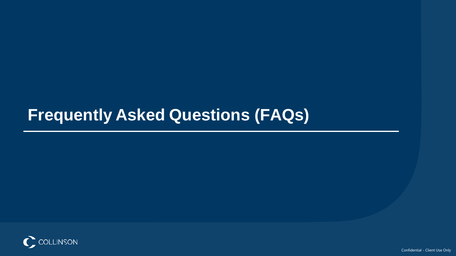# **Frequently Asked Questions (FAQs)**

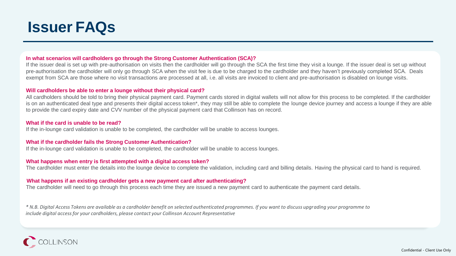

#### **In what scenarios will cardholders go through the Strong Customer Authentication (SCA)?**

If the issuer deal is set up with pre-authorisation on visits then the cardholder will go through the SCA the first time they visit a lounge. If the issuer deal is set up without pre-authorisation the cardholder will only go through SCA when the visit fee is due to be charged to the cardholder and they haven't previously completed SCA. Deals exempt from SCA are those where no visit transactions are processed at all, i.e. all visits are invoiced to client and pre-authorisation is disabled on lounge visits.

#### **Will cardholders be able to enter a lounge without their physical card?**

All cardholders should be told to bring their physical payment card. Payment cards stored in digital wallets will not allow for this process to be completed. If the cardholder is on an authenticated deal type and presents their digital access token\*, they may still be able to complete the lounge device journey and access a lounge if they are able to provide the card expiry date and CVV number of the physical payment card that Collinson has on record.

#### **What if the card is unable to be read?**

If the in-lounge card validation is unable to be completed, the cardholder will be unable to access lounges.

#### **What if the cardholder fails the Strong Customer Authentication?**

If the in-lounge card validation is unable to be completed, the cardholder will be unable to access lounges.

#### **What happens when entry is first attempted with a digital access token?**

The cardholder must enter the details into the lounge device to complete the validation, including card and billing details. Having the physical card to hand is required.

#### **What happens if an existing cardholder gets a new payment card after authenticating?**

The cardholder will need to go through this process each time they are issued a new payment card to authenticate the payment card details.

*\* N.B. Digital Access Tokens are available as a cardholder benefit on selected authenticated programmes. If you want to discuss upgrading your programme to include digital access for your cardholders, please contact your Collinson Account Representative*

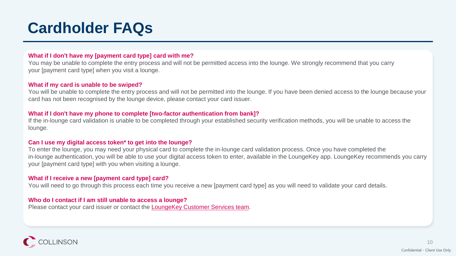# **Cardholder FAQs**

#### **What if I don't have my [payment card type] card with me?**

You may be unable to complete the entry process and will not be permitted access into the lounge. We strongly recommend that you carry your [payment card type] when you visit a lounge.

#### **What if my card is unable to be swiped?**

You will be unable to complete the entry process and will not be permitted into the lounge. If you have been denied access to the lounge because your card has not been recognised by the lounge device, please contact your card issuer.

#### **What if I don't have my phone to complete [two-factor authentication from bank]?**

If the in-lounge card validation is unable to be completed through your established security verification methods, you will be unable to access the lounge.

#### **Can I use my digital access token\* to get into the lounge?**

To enter the lounge, you may need your physical card to complete the in-lounge card validation process. Once you have completed the in-lounge authentication, you will be able to use your digital access token to enter, available in the LoungeKey app. LoungeKey recommends you carry your [payment card type] with you when visiting a lounge.

### **What if I receive a new [payment card type] card?**

You will need to go through this process each time you receive a new [payment card type] as you will need to validate your card details.

#### **Who do I contact if I am still unable to access a lounge?**

Please contact your card issuer or contact the **LoungeKey Customer Services team**.

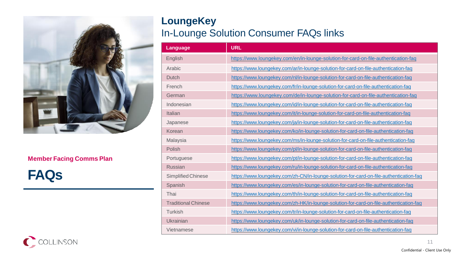

## **Member Facing Comms Plan**

**FAQs**

## **LoungeKey** In-Lounge Solution Consumer FAQs links

| Language                   | <b>URL</b>                                                                             |  |
|----------------------------|----------------------------------------------------------------------------------------|--|
| English                    | https://www.loungekey.com/en/in-lounge-solution-for-card-on-file-authentication-faq    |  |
| Arabic                     | https://www.loungekey.com/ar/in-lounge-solution-for-card-on-file-authentication-faq    |  |
| <b>Dutch</b>               | https://www.loungekey.com/nl/in-lounge-solution-for-card-on-file-authentication-faq    |  |
| French                     | https://www.loungekey.com/fr/in-lounge-solution-for-card-on-file-authentication-fag    |  |
| German                     | https://www.loungekey.com/de/in-lounge-solution-for-card-on-file-authentication-faq    |  |
| Indonesian                 | https://www.loungekey.com/id/in-lounge-solution-for-card-on-file-authentication-faq    |  |
| Italian                    | https://www.loungekey.com/it/in-lounge-solution-for-card-on-file-authentication-fag    |  |
| Japanese                   | https://www.loungekey.com/ja/in-lounge-solution-for-card-on-file-authentication-faq    |  |
| Korean                     | https://www.loungekey.com/ko/in-lounge-solution-for-card-on-file-authentication-fag    |  |
| Malaysia                   | https://www.loungekey.com/ms/in-lounge-solution-for-card-on-file-authentication-faq    |  |
| Polish                     | https://www.loungekey.com/pl/in-lounge-solution-for-card-on-file-authentication-faq    |  |
| Portuguese                 | https://www.loungekey.com/pt/in-lounge-solution-for-card-on-file-authentication-faq    |  |
| <b>Russian</b>             | https://www.loungekey.com/ru/in-lounge-solution-for-card-on-file-authentication-faq    |  |
| Simplified Chinese         | https://www.loungekey.com/zh-CN/in-lounge-solution-for-card-on-file-authentication-fag |  |
| Spanish                    | https://www.loungekey.com/es/in-lounge-solution-for-card-on-file-authentication-faq    |  |
| Thai                       | https://www.loungekey.com/th/in-lounge-solution-for-card-on-file-authentication-faq    |  |
| <b>Traditional Chinese</b> | https://www.loungekey.com/zh-HK/in-lounge-solution-for-card-on-file-authentication-faq |  |
| Turkish                    | https://www.loungekey.com/tr/in-lounge-solution-for-card-on-file-authentication-faq    |  |
| Ukrainian                  | https://www.loungekey.com/uk/in-lounge-solution-for-card-on-file-authentication-faq    |  |
| Vietnamese                 | https://www.loungekey.com/vi/in-lounge-solution-for-card-on-file-authentication-faq    |  |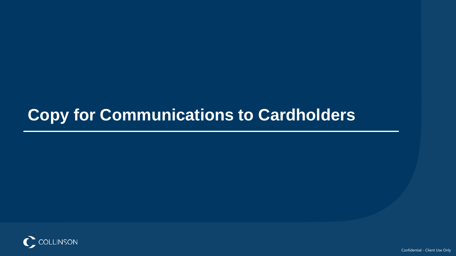# **Copy for Communications to Cardholders**

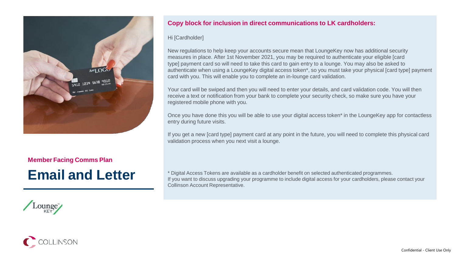

### **Member Facing Comms Plan**

# **Email and Letter**

### **Copy block for inclusion in direct communications to LK cardholders:**

#### Hi [Cardholder]

New regulations to help keep your accounts secure mean that LoungeKey now has additional security measures in place. After 1st November 2021, you may be required to authenticate your eligible [card type] payment card so will need to take this card to gain entry to a lounge. You may also be asked to authenticate when using a LoungeKey digital access token\*, so you must take your physical [card type] payment card with you. This will enable you to complete an in-lounge card validation.

Your card will be swiped and then you will need to enter your details, and card validation code. You will then receive a text or notification from your bank to complete your security check, so make sure you have your registered mobile phone with you.

Once you have done this you will be able to use your digital access token\* in the LoungeKey app for contactless entry during future visits.

If you get a new [card type] payment card at any point in the future, you will need to complete this physical card validation process when you next visit a lounge.

\* Digital Access Tokens are available as a cardholder benefit on selected authenticated programmes. If you want to discuss upgrading your programme to include digital access for your cardholders, please contact your Collinson Account Representative.

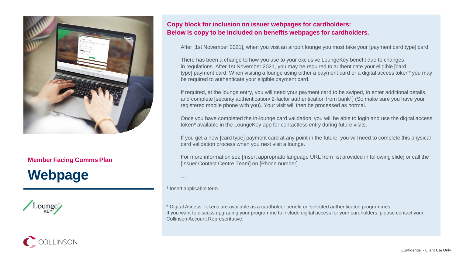

### **Member Facing Comms Plan**

# **Webpage**

**COLLINSON** 

Lounge

### **Copy block for inclusion on issuer webpages for cardholders: Below is copy to be included on benefits webpages for cardholders.**

After [1st November 2021], when you visit an airport lounge you must take your [payment card type] card.

There has been a change to how you use to your exclusive LoungeKey benefit due to changes in regulations. After 1st November 2021, you may be required to authenticate your eligible [card type] payment card. When visiting a lounge using either a payment card or a digital access token\* you may be required to authenticate your eligible payment card.

If required, at the lounge entry, you will need your payment card to be swiped, to enter additional details, and complete [security authentication/ 2-factor authentication from bank† ] (So make sure you have your registered mobile phone with you). Your visit will then be processed as normal.

Once you have completed the in-lounge card validation, you will be able to login and use the digital access token\* available in the LoungeKey app for contactless entry during future visits.

If you get a new [card type] payment card at any point in the future, you will need to complete this physical card validation process when you next visit a lounge.

For more information see [Insert appropriate language URL from list provided in following slide] or call the [Issuer Contact Centre Team] on [Phone number]

…

† Insert applicable term

\* Digital Access Tokens are available as a cardholder benefit on selected authenticated programmes. If you want to discuss upgrading your programme to include digital access for your cardholders, please contact your Collinson Account Representative.